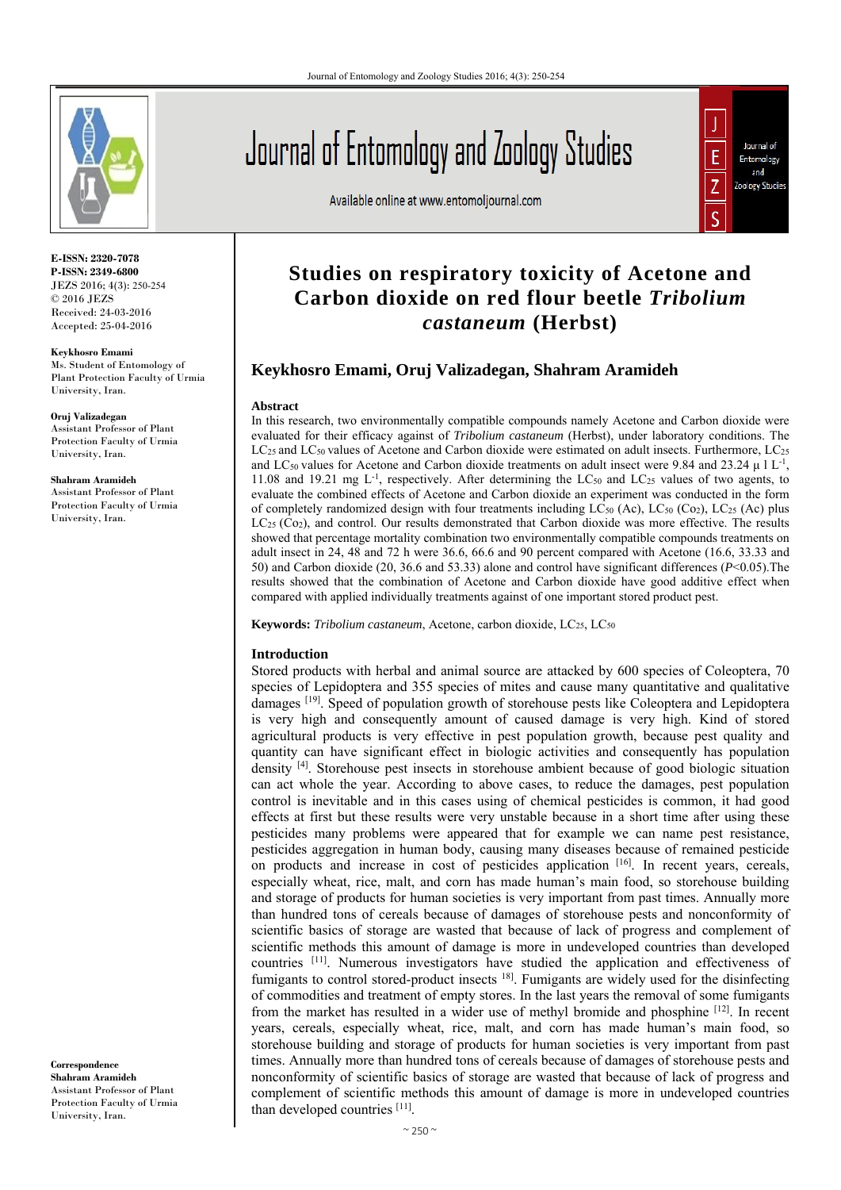

**E-ISSN: 2320-7078 P-ISSN: 2349-6800** JEZS 2016; 4(3): 250-254 © 2016 JEZS Received: 24-03-2016 Accepted: 25-04-2016

**Keykhosro Emami**  Ms. Student of Entomology of Plant Protection Faculty of Urmia University, Iran.

**Oruj Valizadegan**  Assistant Professor of Plant Protection Faculty of Urmia University, Iran.

**Shahram Aramideh** Assistant Professor of Plant Protection Faculty of Urmia University, Iran.

**Correspondence Shahram Aramideh**  Assistant Professor of Plant Protection Faculty of Urmia University, Iran.

# Journal of Entomology and Zoology Studies

Available online at www.entomoljournal.com



## **Studies on respiratory toxicity of Acetone and Carbon dioxide on red flour beetle** *Tribolium castaneum* **(Herbst)**

### **Keykhosro Emami, Oruj Valizadegan, Shahram Aramideh**

#### **Abstract**

In this research, two environmentally compatible compounds namely Acetone and Carbon dioxide were evaluated for their efficacy against of *Tribolium castaneum* (Herbst), under laboratory conditions. The LC<sub>25</sub> and LC<sub>50</sub> values of Acetone and Carbon dioxide were estimated on adult insects. Furthermore, LC<sub>25</sub> and LC<sub>50</sub> values for Acetone and Carbon dioxide treatments on adult insect were 9.84 and 23.24  $\mu$  1 L<sup>-1</sup>, 11.08 and 19.21 mg  $L^{-1}$ , respectively. After determining the LC<sub>50</sub> and LC<sub>25</sub> values of two agents, to evaluate the combined effects of Acetone and Carbon dioxide an experiment was conducted in the form of completely randomized design with four treatments including  $LC_{50}$  (Ac),  $LC_{50}$  (Co<sub>2</sub>),  $LC_{25}$  (Ac) plus  $LC_{25}$  (Co<sub>2</sub>), and control. Our results demonstrated that Carbon dioxide was more effective. The results showed that percentage mortality combination two environmentally compatible compounds treatments on adult insect in 24, 48 and 72 h were 36.6, 66.6 and 90 percent compared with Acetone (16.6, 33.33 and 50) and Carbon dioxide (20, 36.6 and 53.33) alone and control have significant differences (*P*<0.05).The results showed that the combination of Acetone and Carbon dioxide have good additive effect when compared with applied individually treatments against of one important stored product pest.

**Keywords:** *Tribolium castaneum*, Acetone, carbon dioxide, LC25, LC50

#### **Introduction**

Stored products with herbal and animal source are attacked by 600 species of Coleoptera, 70 species of Lepidoptera and 355 species of mites and cause many quantitative and qualitative damages [19]. Speed of population growth of storehouse pests like Coleoptera and Lepidoptera is very high and consequently amount of caused damage is very high. Kind of stored agricultural products is very effective in pest population growth, because pest quality and quantity can have significant effect in biologic activities and consequently has population density [4]. Storehouse pest insects in storehouse ambient because of good biologic situation can act whole the year. According to above cases, to reduce the damages, pest population control is inevitable and in this cases using of chemical pesticides is common, it had good effects at first but these results were very unstable because in a short time after using these pesticides many problems were appeared that for example we can name pest resistance, pesticides aggregation in human body, causing many diseases because of remained pesticide on products and increase in cost of pesticides application [16]. In recent years, cereals, especially wheat, rice, malt, and corn has made human's main food, so storehouse building and storage of products for human societies is very important from past times. Annually more than hundred tons of cereals because of damages of storehouse pests and nonconformity of scientific basics of storage are wasted that because of lack of progress and complement of scientific methods this amount of damage is more in undeveloped countries than developed countries [11]. Numerous investigators have studied the application and effectiveness of fumigants to control stored-product insects  $18$ . Fumigants are widely used for the disinfecting of commodities and treatment of empty stores. In the last years the removal of some fumigants from the market has resulted in a wider use of methyl bromide and phosphine  $[12]$ . In recent years, cereals, especially wheat, rice, malt, and corn has made human's main food, so storehouse building and storage of products for human societies is very important from past times. Annually more than hundred tons of cereals because of damages of storehouse pests and nonconformity of scientific basics of storage are wasted that because of lack of progress and complement of scientific methods this amount of damage is more in undeveloped countries than developed countries [11].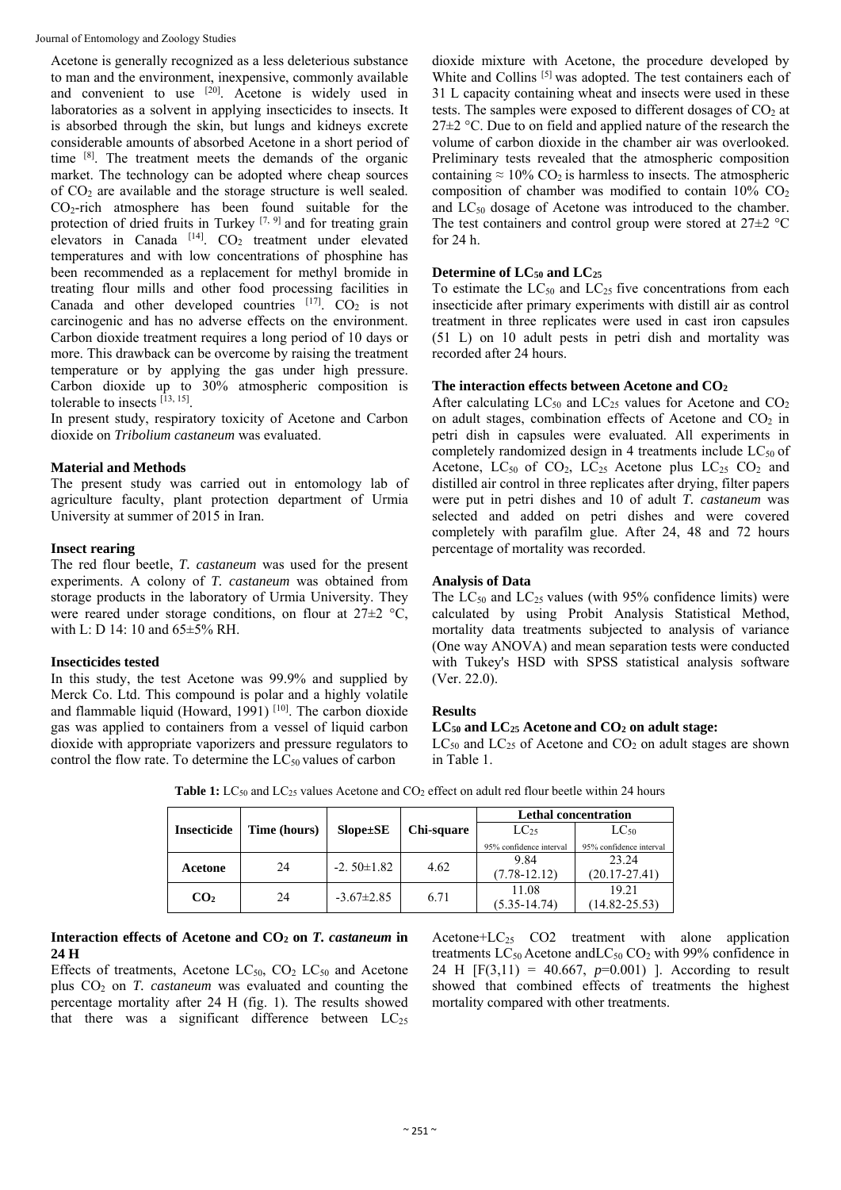Journal of Entomology and Zoology Studies

Acetone is generally recognized as a less deleterious substance to man and the environment, inexpensive, commonly available and convenient to use  $[20]$ . Acetone is widely used in laboratories as a solvent in applying insecticides to insects. It is absorbed through the skin, but lungs and kidneys excrete considerable amounts of absorbed Acetone in a short period of time [8]. The treatment meets the demands of the organic market. The technology can be adopted where cheap sources of  $CO<sub>2</sub>$  are available and the storage structure is well sealed. CO2-rich atmosphere has been found suitable for the protection of dried fruits in Turkey<sup>[7, 9]</sup> and for treating grain elevators in Canada  $^{[14]}$ . CO<sub>2</sub> treatment under elevated temperatures and with low concentrations of phosphine has been recommended as a replacement for methyl bromide in treating flour mills and other food processing facilities in Canada and other developed countries  $[17]$ . CO<sub>2</sub> is not carcinogenic and has no adverse effects on the environment. Carbon dioxide treatment requires a long period of 10 days or more. This drawback can be overcome by raising the treatment temperature or by applying the gas under high pressure. Carbon dioxide up to 30% atmospheric composition is tolerable to insects  $[13, 15]$ .

In present study, respiratory toxicity of Acetone and Carbon dioxide on *Tribolium castaneum* was evaluated.

#### **Material and Methods**

The present study was carried out in entomology lab of agriculture faculty, plant protection department of Urmia University at summer of 2015 in Iran.

#### **Insect rearing**

The red flour beetle, *T. castaneum* was used for the present experiments. A colony of *T. castaneum* was obtained from storage products in the laboratory of Urmia University. They were reared under storage conditions, on flour at 27±2 °C, with L: D 14: 10 and 65±5% RH.

#### **Insecticides tested**

In this study, the test Acetone was 99.9% and supplied by Merck Co. Ltd. This compound is polar and a highly volatile and flammable liquid (Howard, 1991) [10]. The carbon dioxide gas was applied to containers from a vessel of liquid carbon dioxide with appropriate vaporizers and pressure regulators to control the flow rate. To determine the  $LC_{50}$  values of carbon

dioxide mixture with Acetone, the procedure developed by White and Collins<sup>[5]</sup> was adopted. The test containers each of 31 L capacity containing wheat and insects were used in these tests. The samples were exposed to different dosages of  $CO<sub>2</sub>$  at  $27\pm2$  °C. Due to on field and applied nature of the research the volume of carbon dioxide in the chamber air was overlooked. Preliminary tests revealed that the atmospheric composition containing  $\approx 10\%$  CO<sub>2</sub> is harmless to insects. The atmospheric composition of chamber was modified to contain  $10\%$  CO<sub>2</sub> and  $LC_{50}$  dosage of Acetone was introduced to the chamber. The test containers and control group were stored at  $27 \pm 2$  °C for 24 h.

#### Determine of  $LC_{50}$  and  $LC_{25}$

To estimate the  $LC_{50}$  and  $LC_{25}$  five concentrations from each insecticide after primary experiments with distill air as control treatment in three replicates were used in cast iron capsules (51 L) on 10 adult pests in petri dish and mortality was recorded after 24 hours.

#### **The interaction effects between Acetone and CO2**

After calculating  $LC_{50}$  and  $LC_{25}$  values for Acetone and  $CO<sub>2</sub>$ on adult stages, combination effects of Acetone and  $CO<sub>2</sub>$  in petri dish in capsules were evaluated. All experiments in completely randomized design in 4 treatments include  $LC_{50}$  of Acetone,  $LC_{50}$  of  $CO<sub>2</sub>$ ,  $LC_{25}$  Acetone plus  $LC_{25}$   $CO<sub>2</sub>$  and distilled air control in three replicates after drying, filter papers were put in petri dishes and 10 of adult *T. castaneum* was selected and added on petri dishes and were covered completely with parafilm glue. After 24, 48 and 72 hours percentage of mortality was recorded.

#### **Analysis of Data**

The  $LC_{50}$  and  $LC_{25}$  values (with 95% confidence limits) were calculated by using Probit Analysis Statistical Method, mortality data treatments subjected to analysis of variance (One way ANOVA) and mean separation tests were conducted with Tukey's HSD with SPSS statistical analysis software (Ver. 22.0).

#### **Results**

#### **LC50 and LC25 Acetone and CO2 on adult stage:**

 $LC_{50}$  and  $LC_{25}$  of Acetone and  $CO_2$  on adult stages are shown in Table 1.

|                    |              |                  |            | <b>Lethal concentration</b> |                         |
|--------------------|--------------|------------------|------------|-----------------------------|-------------------------|
| <b>Insecticide</b> | Time (hours) | $Slope \pm SE$   | Chi-square | LC <sub>25</sub>            | $LC_{50}$               |
|                    |              |                  |            | 95% confidence interval     | 95% confidence interval |
| Acetone            | 24           | $-2.50 \pm 1.82$ | 4.62       | 9.84                        | 23.24                   |
|                    |              |                  |            | $(7.78 - 12.12)$            | $(20.17 - 27.41)$       |
| CO <sub>2</sub>    | 24           | $-3.67 \pm 2.85$ | 6.71       | 11.08                       | 19.21                   |
|                    |              |                  |            | $(5.35 - 14.74)$            | $(14.82 - 25.53)$       |

Table 1: LC<sub>50</sub> and LC<sub>25</sub> values Acetone and CO<sub>2</sub> effect on adult red flour beetle within 24 hours

#### **Interaction effects of Acetone and CO2 on** *T. castaneum* **in 24 H**

Effects of treatments, Acetone  $LC_{50}$ ,  $CO<sub>2</sub> LC_{50}$  and Acetone plus CO2 on *T. castaneum* was evaluated and counting the percentage mortality after 24 H (fig. 1). The results showed that there was a significant difference between  $LC_{25}$ 

Acetone+ $LC_{25}$   $CO2$  treatment with alone application treatments  $LC_{50}$  Acetone and  $LC_{50}$  CO<sub>2</sub> with 99% confidence in 24 H [F(3,11) = 40.667, *p*=0.001) ]. According to result showed that combined effects of treatments the highest mortality compared with other treatments.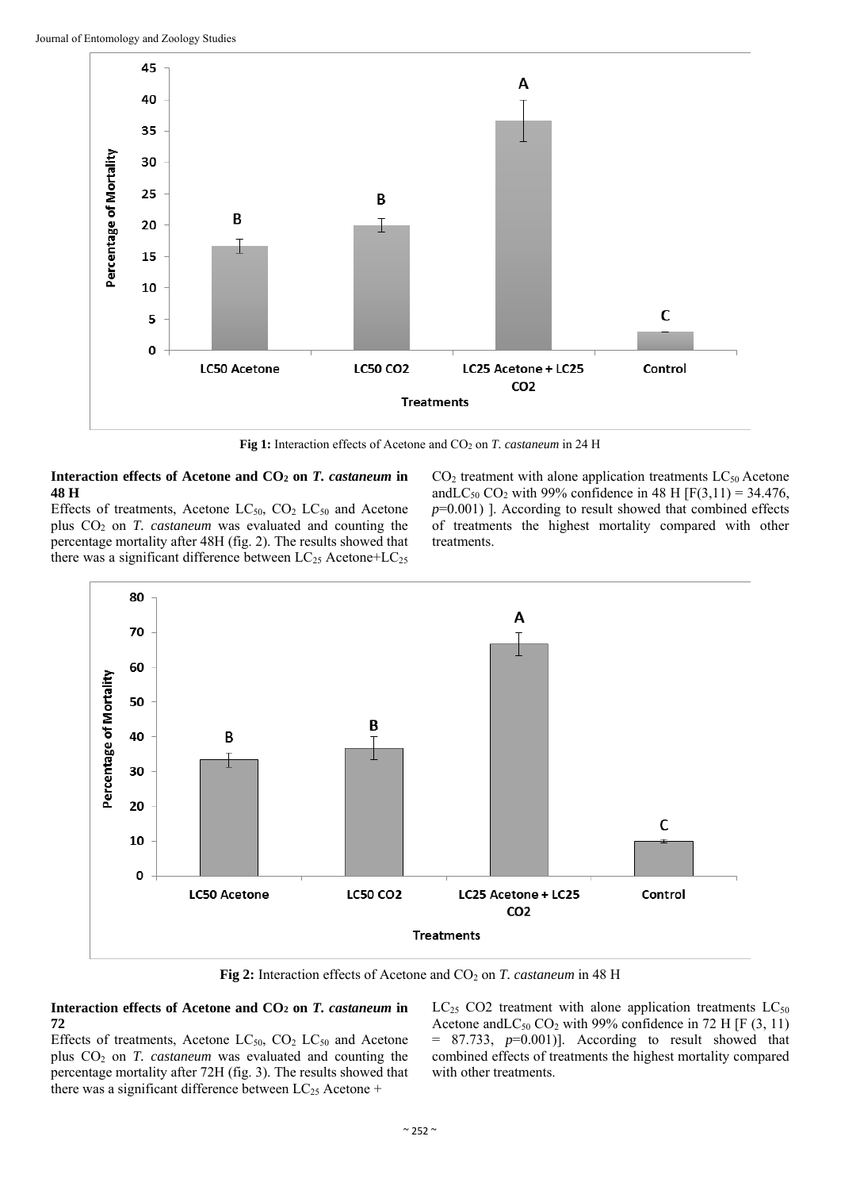

Fig 1: Interaction effects of Acetone and CO<sub>2</sub> on *T. castaneum* in 24 H

#### **Interaction effects of Acetone and CO2 on** *T. castaneum* **in 48 H**

Effects of treatments, Acetone  $LC_{50}$ ,  $CO<sub>2</sub> LC_{50}$  and Acetone plus CO2 on *T. castaneum* was evaluated and counting the percentage mortality after 48H (fig. 2). The results showed that there was a significant difference between  $LC_{25}$  Acetone+ $LC_{25}$   $CO<sub>2</sub>$  treatment with alone application treatments  $LC<sub>50</sub>$  Acetone and  $LC_{50}$  CO<sub>2</sub> with 99% confidence in 48 H [F(3,11) = 34.476, *p*=0.001) ]. According to result showed that combined effects of treatments the highest mortality compared with other treatments.



**Fig 2:** Interaction effects of Acetone and CO<sub>2</sub> on *T. castaneum* in 48 H

#### **Interaction effects of Acetone and CO2 on** *T. castaneum* **in 72**

Effects of treatments, Acetone LC<sub>50</sub>, CO<sub>2</sub> LC<sub>50</sub> and Acetone plus CO2 on *T. castaneum* was evaluated and counting the percentage mortality after 72H (fig. 3). The results showed that there was a significant difference between  $LC_{25}$  Acetone +

 $LC_{25}$  CO2 treatment with alone application treatments  $LC_{50}$ Acetone and  $LC_{50}$  CO<sub>2</sub> with 99% confidence in 72 H [F (3, 11)  $= 87.733$ ,  $p=0.001$ ]. According to result showed that combined effects of treatments the highest mortality compared with other treatments.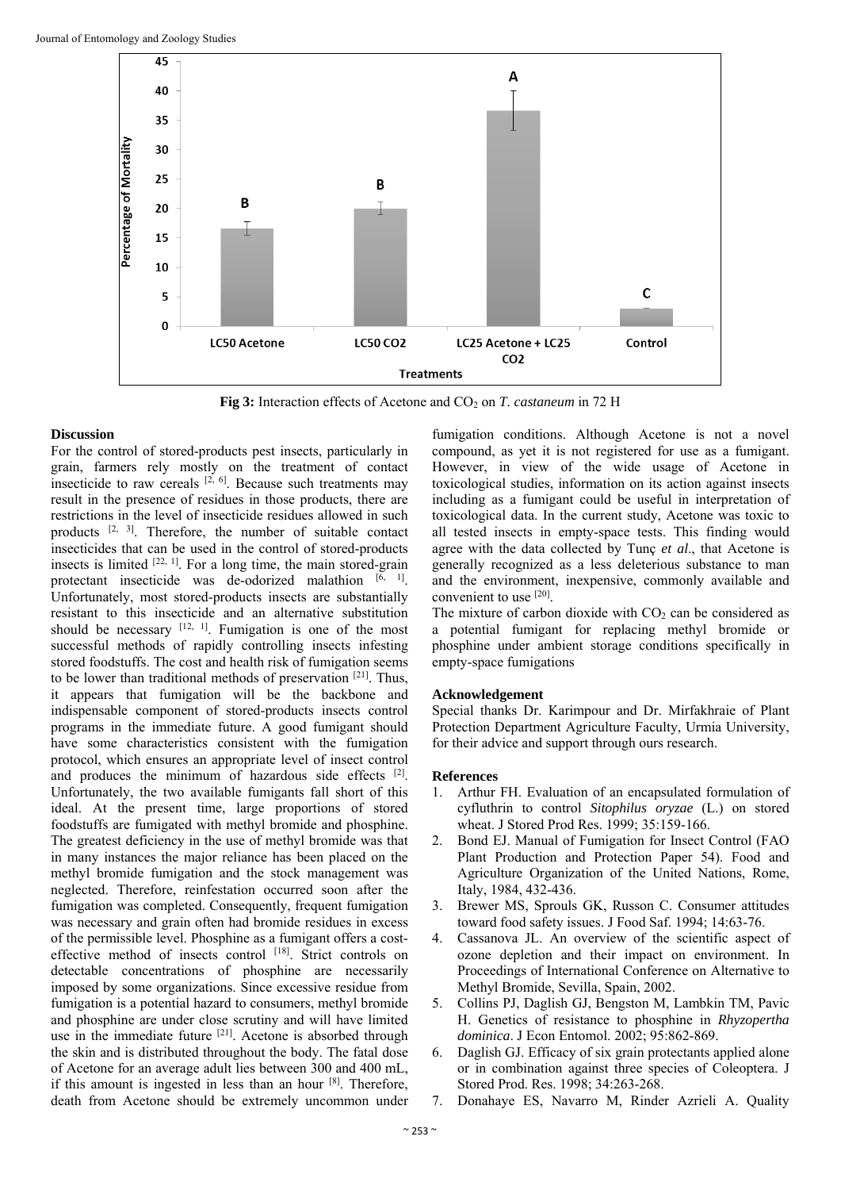

**Fig 3:** Interaction effects of Acetone and CO<sub>2</sub> on *T. castaneum* in 72 H

#### **Discussion**

For the control of stored-products pest insects, particularly in grain, farmers rely mostly on the treatment of contact insecticide to raw cereals  $[2, 6]$ . Because such treatments may result in the presence of residues in those products, there are restrictions in the level of insecticide residues allowed in such products [2, 3]. Therefore, the number of suitable contact insecticides that can be used in the control of stored-products insects is limited  $[22, 1]$ . For a long time, the main stored-grain protectant insecticide was de-odorized malathion  $[6, 1]$ . Unfortunately, most stored-products insects are substantially resistant to this insecticide and an alternative substitution should be necessary  $[12, 1]$ . Fumigation is one of the most successful methods of rapidly controlling insects infesting stored foodstuffs. The cost and health risk of fumigation seems to be lower than traditional methods of preservation [21]. Thus, it appears that fumigation will be the backbone and indispensable component of stored-products insects control programs in the immediate future. A good fumigant should have some characteristics consistent with the fumigation protocol, which ensures an appropriate level of insect control and produces the minimum of hazardous side effects [2]. Unfortunately, the two available fumigants fall short of this ideal. At the present time, large proportions of stored foodstuffs are fumigated with methyl bromide and phosphine. The greatest deficiency in the use of methyl bromide was that in many instances the major reliance has been placed on the methyl bromide fumigation and the stock management was neglected. Therefore, reinfestation occurred soon after the fumigation was completed. Consequently, frequent fumigation was necessary and grain often had bromide residues in excess of the permissible level. Phosphine as a fumigant offers a costeffective method of insects control [18]. Strict controls on detectable concentrations of phosphine are necessarily imposed by some organizations. Since excessive residue from fumigation is a potential hazard to consumers, methyl bromide and phosphine are under close scrutiny and will have limited use in the immediate future <sup>[21]</sup>. Acetone is absorbed through the skin and is distributed throughout the body. The fatal dose of Acetone for an average adult lies between 300 and 400 mL, if this amount is ingested in less than an hour [8]. Therefore, death from Acetone should be extremely uncommon under

fumigation conditions. Although Acetone is not a novel compound, as yet it is not registered for use as a fumigant. However, in view of the wide usage of Acetone in toxicological studies, information on its action against insects including as a fumigant could be useful in interpretation of toxicological data. In the current study, Acetone was toxic to all tested insects in empty-space tests. This finding would agree with the data collected by Tunç *et al*., that Acetone is generally recognized as a less deleterious substance to man and the environment, inexpensive, commonly available and convenient to use [20].

The mixture of carbon dioxide with  $CO<sub>2</sub>$  can be considered as a potential fumigant for replacing methyl bromide or phosphine under ambient storage conditions specifically in empty-space fumigations

#### **Acknowledgement**

Special thanks Dr. Karimpour and Dr. Mirfakhraie of Plant Protection Department Agriculture Faculty, Urmia University, for their advice and support through ours research.

#### **References**

- 1. Arthur FH. Evaluation of an encapsulated formulation of cyfluthrin to control *Sitophilus oryzae* (L.) on stored wheat. J Stored Prod Res. 1999; 35:159-166.
- 2. Bond EJ. Manual of Fumigation for Insect Control (FAO Plant Production and Protection Paper 54). Food and Agriculture Organization of the United Nations, Rome, Italy, 1984, 432-436.
- 3. Brewer MS, Sprouls GK, Russon C. Consumer attitudes toward food safety issues. J Food Saf. 1994; 14:63-76.
- 4. Cassanova JL. An overview of the scientific aspect of ozone depletion and their impact on environment. In Proceedings of International Conference on Alternative to Methyl Bromide, Sevilla, Spain, 2002.
- 5. Collins PJ, Daglish GJ, Bengston M, Lambkin TM, Pavic H. Genetics of resistance to phosphine in *Rhyzopertha dominica*. J Econ Entomol. 2002; 95:862-869.
- 6. Daglish GJ. Efficacy of six grain protectants applied alone or in combination against three species of Coleoptera. J Stored Prod. Res. 1998; 34:263-268.
- 7. Donahaye ES, Navarro M, Rinder Azrieli A. Quality